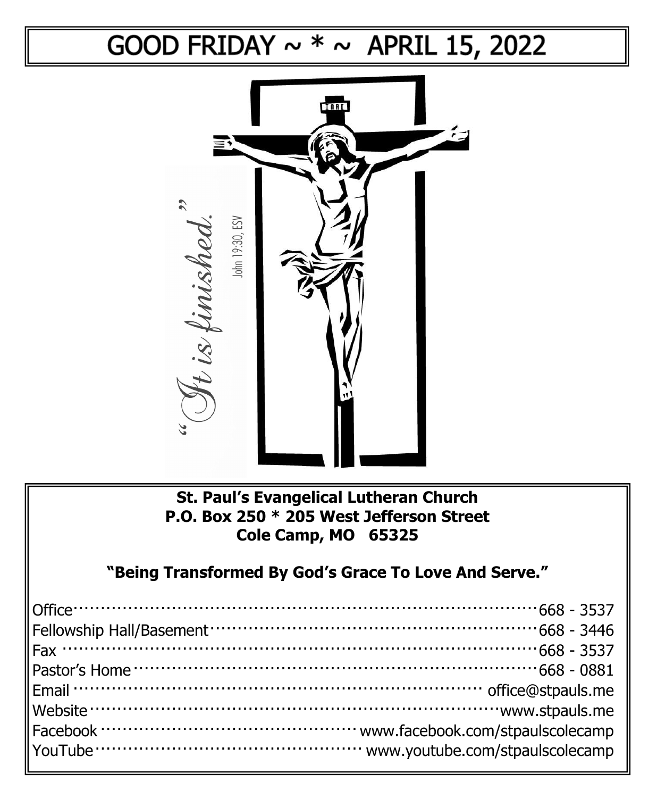## GOOD FRIDAY  $\sim$  \*  $\sim$  APRIL 15, 2022



## **St. Paul's Evangelical Lutheran Church P.O. Box 250 \* 205 West Jefferson Street Cole Camp, MO 65325**

**"Being Transformed By God's Grace To Love And Serve."**

| Pastor's Home $\cdots$ and $\cdots$ and $\cdots$ are all the control of $\cdots$ and $\cdots$ 668 - 0881 |  |
|----------------------------------------------------------------------------------------------------------|--|
|                                                                                                          |  |
|                                                                                                          |  |
|                                                                                                          |  |
|                                                                                                          |  |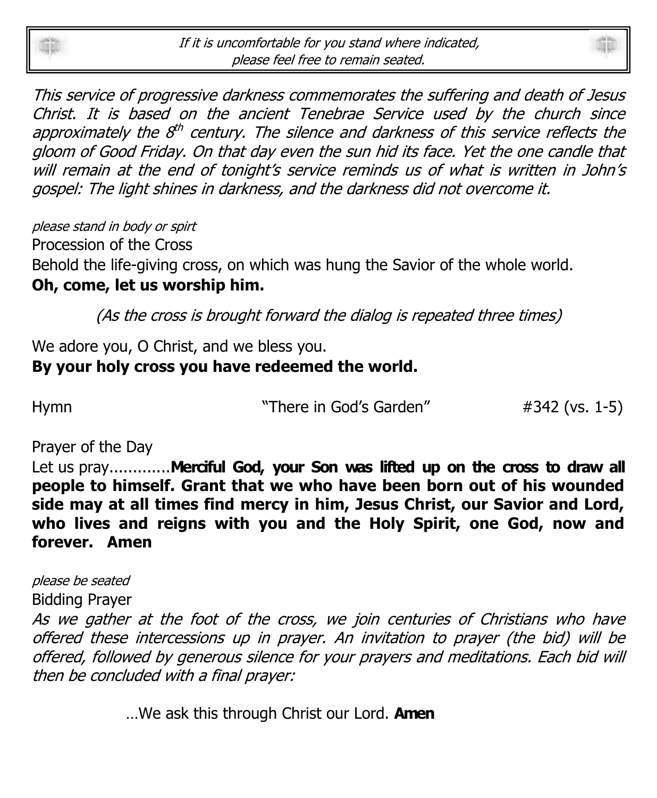



please stand in body or spirt

Procession of the Cross

Behold the life-giving cross, on which was hung the Savior of the whole world. **Oh, come, let us worship him.**

(As the cross is brought forward the dialog is repeated three times)

We adore you, O Christ, and we bless you.

## **By your holy cross you have redeemed the world.**

Hymn **Example 28** There in God's Garden" #342 (vs. 1-5)

Prayer of the Day

Let us pray..............**Merciful God, your Son was lifted up on the cross to draw all people to himself. Grant that we who have been born out of his wounded side may at all times find mercy in him, Jesus Christ, our Savior and Lord, who lives and reigns with you and the Holy Spirit, one God, now and forever. Amen**

please be seated

Bidding Prayer

As we gather at the foot of the cross, we join centuries of Christians who have offered these intercessions up in prayer. An invitation to prayer (the bid) will be offered, followed by generous silence for your prayers and meditations. Each bid will then be concluded with a final prayer:

…We ask this through Christ our Lord. **Amen**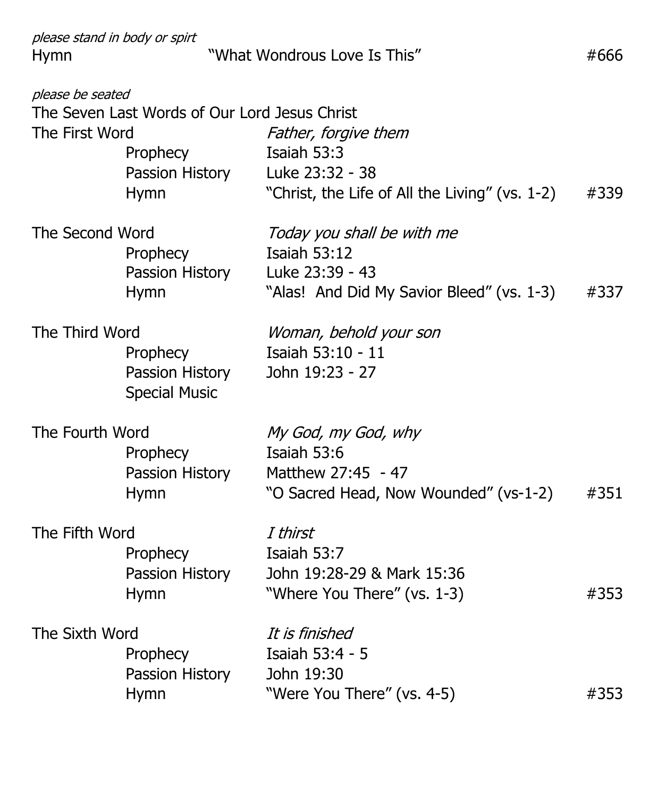| please stand in body or spirt<br>Hymn |                                                                                             | "What Wondrous Love Is This"                                                                                      | #666 |
|---------------------------------------|---------------------------------------------------------------------------------------------|-------------------------------------------------------------------------------------------------------------------|------|
| please be seated<br>The First Word    | The Seven Last Words of Our Lord Jesus Christ<br>Prophecy<br>Passion History<br><b>Hymn</b> | Father, forgive them<br>Isaiah 53:3<br>Luke 23:32 - 38<br>"Christ, the Life of All the Living" (vs. 1-2)          | #339 |
| The Second Word                       | Prophecy<br>Passion History<br>Hymn                                                         | Today you shall be with me<br><b>Isaiah 53:12</b><br>Luke 23:39 - 43<br>"Alas! And Did My Savior Bleed" (vs. 1-3) | #337 |
| The Third Word                        | Prophecy<br>Passion History<br><b>Special Music</b>                                         | Woman, behold your son<br>Isaiah 53:10 - 11<br>John 19:23 - 27                                                    |      |
| The Fourth Word                       | Prophecy<br>Passion History<br>Hymn                                                         | My God, my God, why<br>Isaiah 53:6<br>Matthew 27:45 - 47<br>"O Sacred Head, Now Wounded" (vs-1-2)                 | #351 |
| The Fifth Word                        | Prophecy<br>Passion History<br><b>Hymn</b>                                                  | I thirst<br>Isaiah 53:7<br>John 19:28-29 & Mark 15:36<br>"Where You There" (vs. 1-3)                              | #353 |
| The Sixth Word                        | Prophecy<br>Passion History<br>Hymn                                                         | It is finished<br>Isaiah 53:4 - 5<br>John 19:30<br>"Were You There" (vs. 4-5)                                     | #353 |